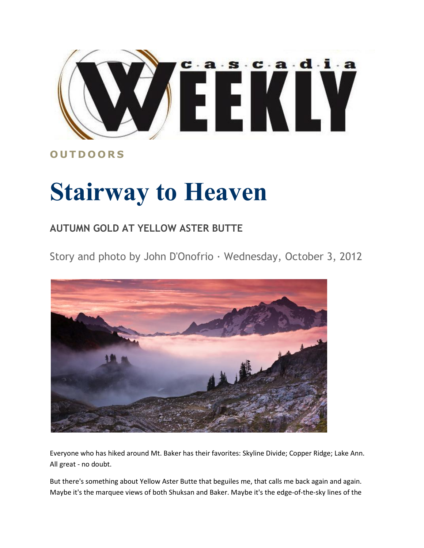

**O U T D O O R S**

## **Stairway to Heaven**

## **AUTUMN GOLD AT YELLOW ASTER BUTTE**

Story and photo by John D'Onofrio · Wednesday, October 3, 2012



Everyone who has hiked around Mt. Baker has their favorites: Skyline Divide; Copper Ridge; Lake Ann. All great - no doubt.

But there's something about Yellow Aster Butte that beguiles me, that calls me back again and again. Maybe it's the marquee views of both Shuksan and Baker. Maybe it's the edge-of-the-sky lines of the